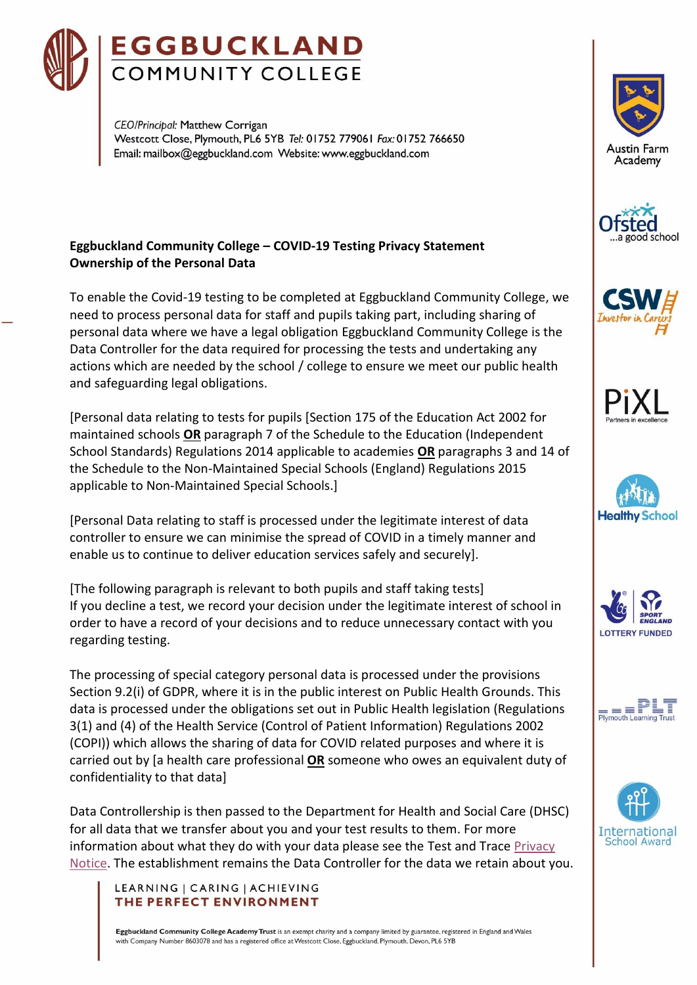

CEO/Princibal: Matthew Corrigan Westcott Close, Plymouth, PL6 5YB Tel: 01752 779061 Fax: 01752 766650 Email: mailbox@eggbuckland.com Website: www.eggbuckland.com

# **Eggbuckland Community College – COVID-19 Testing Privacy Statement Ownership of the Personal Data**

To enable the Covid-19 testing to be completed at Eggbuckland Community College, we need to process personal data for staff and pupils taking part, including sharing of personal data where we have a legal obligation Eggbuckland Community College is the Data Controller for the data required for processing the tests and undertaking any actions which are needed by the school / college to ensure we meet our public health and safeguarding legal obligations.

[Personal data relating to tests for pupils [Section 175 of the Education Act 2002 for maintained schools **OR** paragraph 7 of the Schedule to the Education (Independent School Standards) Regulations 2014 applicable to academies **OR** paragraphs 3 and 14 of the Schedule to the Non-Maintained Special Schools (England) Regulations 2015 applicable to Non-Maintained Special Schools.]

[Personal Data relating to staff is processed under the legitimate interest of data controller to ensure we can minimise the spread of COVID in a timely manner and enable us to continue to deliver education services safely and securely].

[The following paragraph is relevant to both pupils and staff taking tests] If you decline a test, we record your decision under the legitimate interest of school in order to have a record of your decisions and to reduce unnecessary contact with you regarding testing.

The processing of special category personal data is processed under the provisions Section 9.2(i) of GDPR, where it is in the public interest on Public Health Grounds. This data is processed under the obligations set out in Public Health legislation (Regulations 3(1) and (4) of the Health Service (Control of Patient Information) Regulations 2002 (COPI)) which allows the sharing of data for COVID related purposes and where it is carried out by [a health care professional **OR** someone who owes an equivalent duty of confidentiality to that data]

Data Controllership is then passed to the Department for Health and Social Care (DHSC) for all data that we transfer about you and your test results to them. For more information about what they do with your data please see the Test and Trace [Privacy](https://contact-tracing.phe.gov.uk/help/privacy-notice)  [Notice.](https://contact-tracing.phe.gov.uk/help/privacy-notice) The establishment remains the Data Controller for the data we retain about you.

### LEARNING | CARING | ACHIEVING THE PERFECT ENVIRONMENT

Eggbuckland Community College Academy Trust is an exempt charity and a company limited by guarantee, registered in England and Wales with Company Number 8603078 and has a registered office at Westcott Close, Eggbuckland, Plymouth, Devon, PL6 5YB















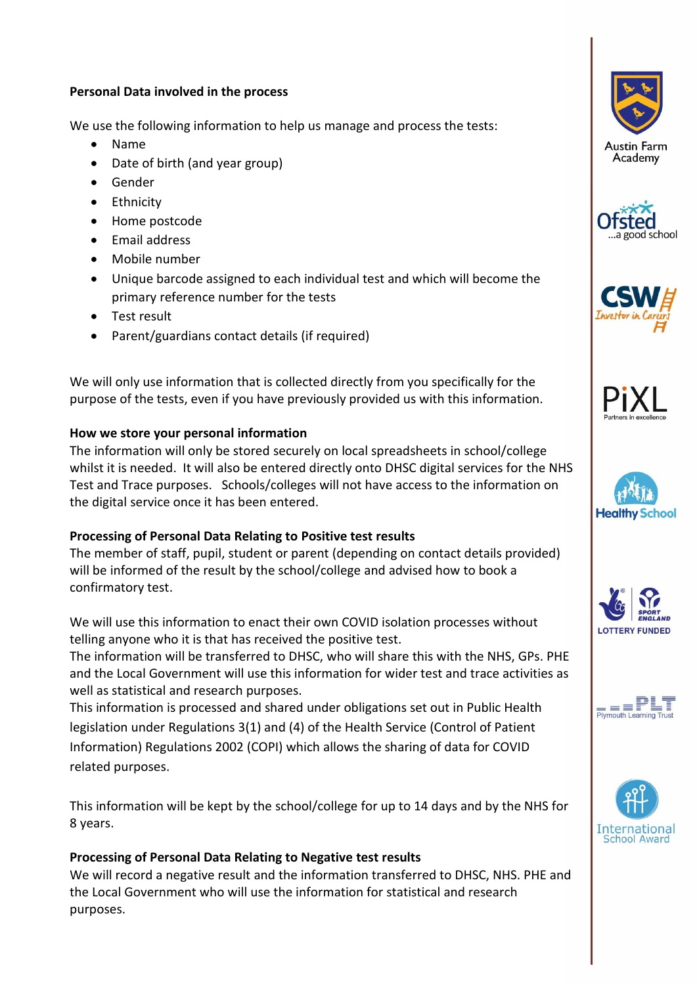### **Personal Data involved in the process**

We use the following information to help us manage and process the tests:

- Name
- Date of birth (and year group)
- Gender
- Ethnicity
- Home postcode
- Email address
- Mobile number
- Unique barcode assigned to each individual test and which will become the primary reference number for the tests
- Test result
- Parent/guardians contact details (if required)

We will only use information that is collected directly from you specifically for the purpose of the tests, even if you have previously provided us with this information.

## **How we store your personal information**

The information will only be stored securely on local spreadsheets in school/college whilst it is needed. It will also be entered directly onto DHSC digital services for the NHS Test and Trace purposes. Schools/colleges will not have access to the information on the digital service once it has been entered.

## **Processing of Personal Data Relating to Positive test results**

The member of staff, pupil, student or parent (depending on contact details provided) will be informed of the result by the school/college and advised how to book a confirmatory test.

We will use this information to enact their own COVID isolation processes without telling anyone who it is that has received the positive test.

The information will be transferred to DHSC, who will share this with the NHS, GPs. PHE and the Local Government will use this information for wider test and trace activities as well as statistical and research purposes.

This information is processed and shared under obligations set out in Public Health legislation under Regulations 3(1) and (4) of the Health Service (Control of Patient Information) Regulations 2002 (COPI) which allows the sharing of data for COVID related purposes.

This information will be kept by the school/college for up to 14 days and by the NHS for 8 years.

# **Processing of Personal Data Relating to Negative test results**

We will record a negative result and the information transferred to DHSC, NHS. PHE and the Local Government who will use the information for statistical and research purposes.















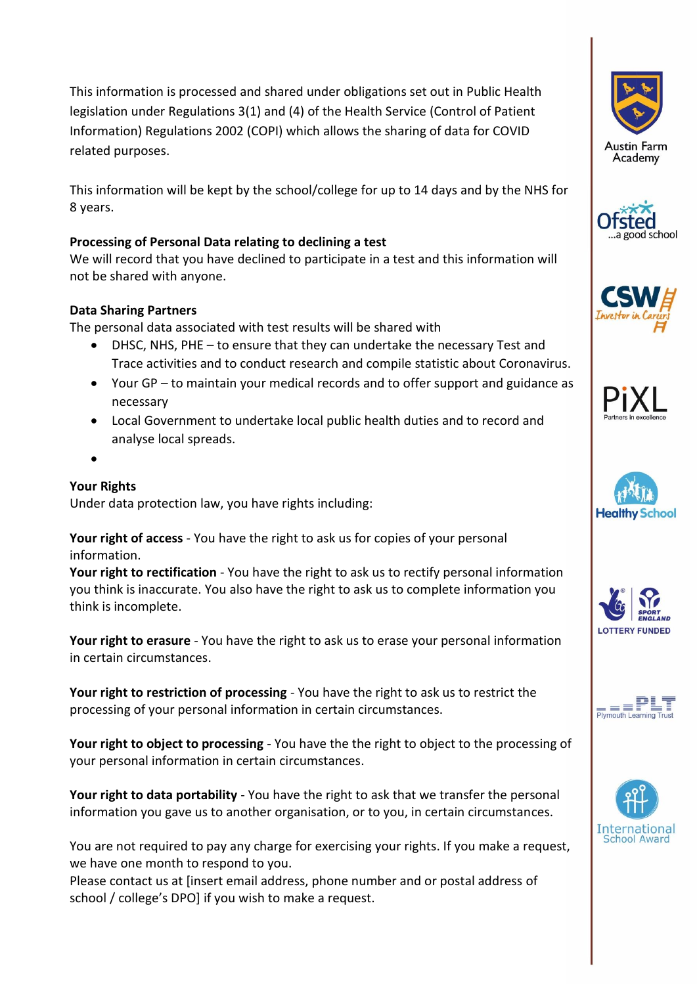This information is processed and shared under obligations set out in Public Health legislation under Regulations 3(1) and (4) of the Health Service (Control of Patient Information) Regulations 2002 (COPI) which allows the sharing of data for COVID related purposes.

This information will be kept by the school/college for up to 14 days and by the NHS for 8 years.

# **Processing of Personal Data relating to declining a test**

We will record that you have declined to participate in a test and this information will not be shared with anyone.

## **Data Sharing Partners**

The personal data associated with test results will be shared with

- DHSC, NHS, PHE to ensure that they can undertake the necessary Test and Trace activities and to conduct research and compile statistic about Coronavirus.
- Your GP to maintain your medical records and to offer support and guidance as necessary
- Local Government to undertake local public health duties and to record and analyse local spreads.
- •

# **Your Rights**

Under data protection law, you have rights including:

**Your right of access** - You have the right to ask us for copies of your personal information.

**Your right to rectification** - You have the right to ask us to rectify personal information you think is inaccurate. You also have the right to ask us to complete information you think is incomplete.

**Your right to erasure** - You have the right to ask us to erase your personal information in certain circumstances.

**Your right to restriction of processing** - You have the right to ask us to restrict the processing of your personal information in certain circumstances.

**Your right to object to processing** - You have the the right to object to the processing of your personal information in certain circumstances.

**Your right to data portability** - You have the right to ask that we transfer the personal information you gave us to another organisation, or to you, in certain circumstances.

You are not required to pay any charge for exercising your rights. If you make a request, we have one month to respond to you.

Please contact us at [insert email address, phone number and or postal address of school / college's DPO] if you wish to make a request.